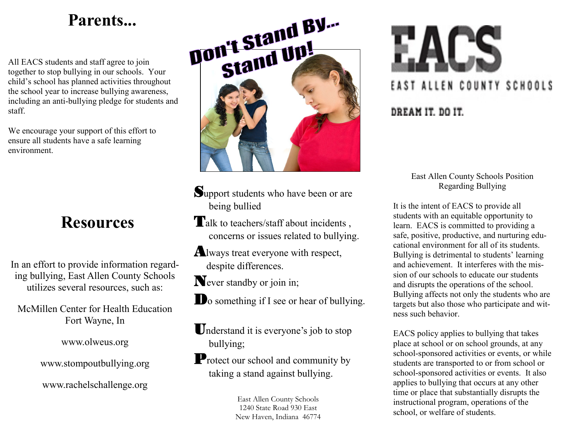# **Parents...**

All EACS students and staff agree to join together to stop bullying in our schools. Your child's school has planned activities throughout the school year to increase bullying awareness, including an anti-bullying pledge for students and staff.

We encourage your support of this effort to ensure all students have a safe learning environment.

## **Resources**

In an effort to provide information regarding bullying, East Allen County Schools utilizes several resources, such as:

McMillen Center for Health Education Fort Wayne, In

www.olweus.org

www.stompoutbullying.org

www.rachelschallenge.org



- Support students who have been or are being bullied
- Talk to teachers/staff about incidents, concerns or issues related to bullying.
- Always treat everyone with respect, despite differences.

Never standby or join in;

Do something if I see or hear of bullying.

Understand it is everyone's job to stop bullying;

**P**rotect our school and community by taking a stand against bullying.

> East Allen County Schools 1240 State Road 930 East New Haven, Indiana 46774



East Allen County Schools Position Regarding Bullying

It is the intent of EACS to provide all students with an equitable opportunity to learn. EACS is committed to providing a safe, positive, productive, and nurturing educational environment for all of its students. Bullying is detrimental to students' learning and achievement. It interferes with the mission of our schools to educate our students and disrupts the operations of the school. Bullying affects not only the students who are targets but also those who participate and witness such behavior.

EACS policy applies to bullying that takes place at school or on school grounds, at any school-sponsored activities or events, or while students are transported to or from school or school-sponsored activities or events. It also applies to bullying that occurs at any other time or place that substantially disrupts the instructional program, operations of the school, or welfare of students.